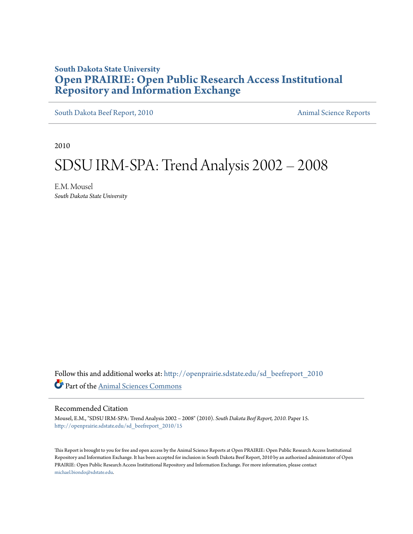## **South Dakota State University [Open PRAIRIE: Open Public Research Access Institutional](http://openprairie.sdstate.edu?utm_source=openprairie.sdstate.edu%2Fsd_beefreport_2010%2F15&utm_medium=PDF&utm_campaign=PDFCoverPages) [Repository and Information Exchange](http://openprairie.sdstate.edu?utm_source=openprairie.sdstate.edu%2Fsd_beefreport_2010%2F15&utm_medium=PDF&utm_campaign=PDFCoverPages)**

[South Dakota Beef Report, 2010](http://openprairie.sdstate.edu/sd_beefreport_2010?utm_source=openprairie.sdstate.edu%2Fsd_beefreport_2010%2F15&utm_medium=PDF&utm_campaign=PDFCoverPages) [Animal Science Reports](http://openprairie.sdstate.edu/ans_reports?utm_source=openprairie.sdstate.edu%2Fsd_beefreport_2010%2F15&utm_medium=PDF&utm_campaign=PDFCoverPages)

2010

# SDSU IRM‐SPA: Trend Analysis 2002 – 2008

E.M. Mousel *South Dakota State University*

Follow this and additional works at: [http://openprairie.sdstate.edu/sd\\_beefreport\\_2010](http://openprairie.sdstate.edu/sd_beefreport_2010?utm_source=openprairie.sdstate.edu%2Fsd_beefreport_2010%2F15&utm_medium=PDF&utm_campaign=PDFCoverPages) Part of the [Animal Sciences Commons](http://network.bepress.com/hgg/discipline/76?utm_source=openprairie.sdstate.edu%2Fsd_beefreport_2010%2F15&utm_medium=PDF&utm_campaign=PDFCoverPages)

#### Recommended Citation

Mousel, E.M., "SDSU IRM‐SPA: Trend Analysis 2002 – 2008" (2010). *South Dakota Beef Report, 2010.* Paper 15. [http://openprairie.sdstate.edu/sd\\_beefreport\\_2010/15](http://openprairie.sdstate.edu/sd_beefreport_2010/15?utm_source=openprairie.sdstate.edu%2Fsd_beefreport_2010%2F15&utm_medium=PDF&utm_campaign=PDFCoverPages)

This Report is brought to you for free and open access by the Animal Science Reports at Open PRAIRIE: Open Public Research Access Institutional Repository and Information Exchange. It has been accepted for inclusion in South Dakota Beef Report, 2010 by an authorized administrator of Open PRAIRIE: Open Public Research Access Institutional Repository and Information Exchange. For more information, please contact [michael.biondo@sdstate.edu](mailto:michael.biondo@sdstate.edu).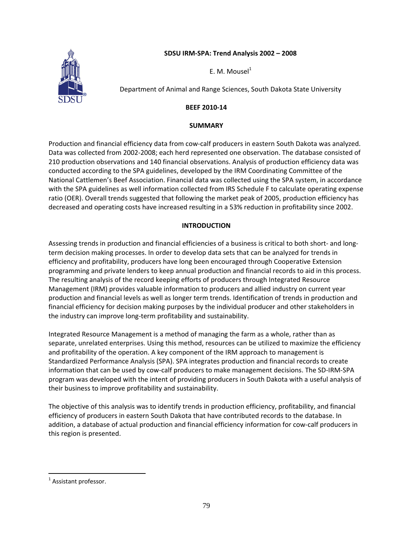## **SDSU IRM‐SPA: Trend Analysis 2002 – 2008**



E. M. Mousel $<sup>1</sup>$ </sup>

Department of Animal and Range Sciences, South Dakota State University

## **BEEF 2010‐14**

## **SUMMARY**

Production and financial efficiency data from cow‐calf producers in eastern South Dakota was analyzed. Data was collected from 2002‐2008; each herd represented one observation. The database consisted of 210 production observations and 140 financial observations. Analysis of production efficiency data was conducted according to the SPA guidelines, developed by the IRM Coordinating Committee of the National Cattlemen's Beef Association. Financial data was collected using the SPA system, in accordance with the SPA guidelines as well information collected from IRS Schedule F to calculate operating expense ratio (OER). Overall trends suggested that following the market peak of 2005, production efficiency has decreased and operating costs have increased resulting in a 53% reduction in profitability since 2002.

## **INTRODUCTION**

Assessing trends in production and financial efficiencies of a business is critical to both short‐ and long‐ term decision making processes. In order to develop data sets that can be analyzed for trends in efficiency and profitability, producers have long been encouraged through Cooperative Extension programming and private lenders to keep annual production and financial records to aid in this process. The resulting analysis of the record keeping efforts of producers through Integrated Resource Management (IRM) provides valuable information to producers and allied industry on current year production and financial levels as well as longer term trends. Identification of trends in production and financial efficiency for decision making purposes by the individual producer and other stakeholders in the industry can improve long‐term profitability and sustainability.

Integrated Resource Management is a method of managing the farm as a whole, rather than as separate, unrelated enterprises. Using this method, resources can be utilized to maximize the efficiency and profitability of the operation. A key component of the IRM approach to management is Standardized Performance Analysis (SPA). SPA integrates production and financial records to create information that can be used by cow-calf producers to make management decisions. The SD-IRM-SPA program was developed with the intent of providing producers in South Dakota with a useful analysis of their business to improve profitability and sustainability.

The objective of this analysis was to identify trends in production efficiency, profitability, and financial efficiency of producers in eastern South Dakota that have contributed records to the database. In addition, a database of actual production and financial efficiency information for cow‐calf producers in this region is presented.

 $\overline{a}$ 

 $<sup>1</sup>$  Assistant professor.</sup>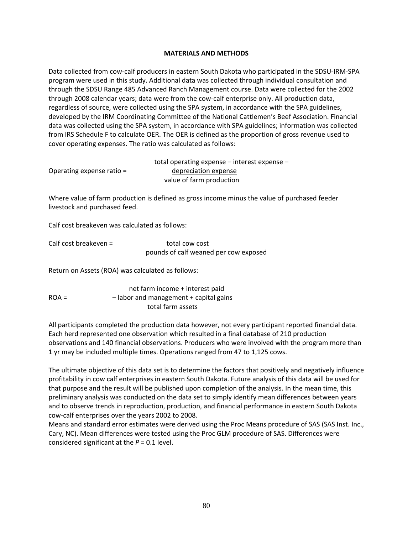### **MATERIALS AND METHODS**

Data collected from cow‐calf producers in eastern South Dakota who participated in the SDSU‐IRM‐SPA program were used in this study. Additional data was collected through individual consultation and through the SDSU Range 485 Advanced Ranch Management course. Data were collected for the 2002 through 2008 calendar years; data were from the cow‐calf enterprise only. All production data, regardless of source, were collected using the SPA system, in accordance with the SPA guidelines, developed by the IRM Coordinating Committee of the National Cattlemen's Beef Association. Financial data was collected using the SPA system, in accordance with SPA guidelines; information was collected from IRS Schedule F to calculate OER. The OER is defined as the proportion of gross revenue used to cover operating expenses. The ratio was calculated as follows:

|                             | total operating expense $-$ interest expense $-$ |  |  |  |  |
|-----------------------------|--------------------------------------------------|--|--|--|--|
| Operating expense ratio $=$ | depreciation expense                             |  |  |  |  |
|                             | value of farm production                         |  |  |  |  |

Where value of farm production is defined as gross income minus the value of purchased feeder livestock and purchased feed.

Calf cost breakeven was calculated as follows:

Calf cost breakeven = total cow cost

pounds of calf weaned per cow exposed

Return on Assets (ROA) was calculated as follows:

 net farm income + interest paid  $ROA =$  - labor and management + capital gains total farm assets

All participants completed the production data however, not every participant reported financial data. Each herd represented one observation which resulted in a final database of 210 production observations and 140 financial observations. Producers who were involved with the program more than 1 yr may be included multiple times. Operations ranged from 47 to 1,125 cows.

The ultimate objective of this data set is to determine the factors that positively and negatively influence profitability in cow calf enterprises in eastern South Dakota. Future analysis of this data will be used for that purpose and the result will be published upon completion of the analysis. In the mean time, this preliminary analysis was conducted on the data set to simply identify mean differences between years and to observe trends in reproduction, production, and financial performance in eastern South Dakota cow‐calf enterprises over the years 2002 to 2008.

Means and standard error estimates were derived using the Proc Means procedure of SAS (SAS Inst. Inc., Cary, NC). Mean differences were tested using the Proc GLM procedure of SAS. Differences were considered significant at the *P* = 0.1 level.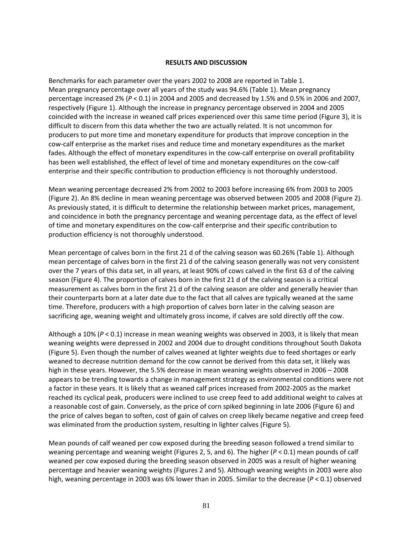### **RESULTS AND DISCUSSION**

Benchmarks for each parameter over the years 2002 to 2008 are reported in Table 1. Mean pregnancy percentage over all years of the study was 94.6% (Table 1). Mean pregnancy percentage increased 2% (*P* < 0.1) in 2004 and 2005 and decreased by 1.5% and 0.5% in 2006 and 2007, respectively (Figure 1). Although the increase in pregnancy percentage observed in 2004 and 2005 coincided with the increase in weaned calf prices experienced over this same time period (Figure 3), it is difficult to discern from this data whether the two are actually related. It is not uncommon for producers to put more time and monetary expenditure for products that improve conception in the cow‐calf enterprise as the market rises and reduce time and monetary expenditures as the market fades. Although the effect of monetary expenditures in the cow-calf enterprise on overall profitability has been well established, the effect of level of time and monetary expenditures on the cow-calf enterprise and their specific contribution to production efficiency is not thoroughly understood.

Mean weaning percentage decreased 2% from 2002 to 2003 before increasing 6% from 2003 to 2005 (Figure 2). An 8% decline in mean weaning percentage was observed between 2005 and 2008 (Figure 2). As previously stated, it is difficult to determine the relationship between market prices, management, and coincidence in both the pregnancy percentage and weaning percentage data, as the effect of level of time and monetary expenditures on the cow‐calf enterprise and their specific contribution to production efficiency is not thoroughly understood.

Mean percentage of calves born in the first 21 d of the calving season was 60.26% (Table 1). Although mean percentage of calves born in the first 21 d of the calving season generally was not very consistent over the 7 years of this data set, in all years, at least 90% of cows calved in the first 63 d of the calving season (Figure 4). The proportion of calves born in the first 21 d of the calving season is a critical measurement as calves born in the first 21 d of the calving season are older and generally heavier than their counterparts born at a later date due to the fact that all calves are typically weaned at the same time. Therefore, producers with a high proportion of calves born later in the calving season are sacrificing age, weaning weight and ultimately gross income, if calves are sold directly off the cow.

Although a 10% (*P* < 0.1) increase in mean weaning weights was observed in 2003, it is likely that mean weaning weights were depressed in 2002 and 2004 due to drought conditions throughout South Dakota (Figure 5). Even though the number of calves weaned at lighter weights due to feed shortages or early weaned to decrease nutrition demand for the cow cannot be derived from this data set, it likely was high in these years. However, the 5.5% decrease in mean weaning weights observed in 2006 – 2008 appears to be trending towards a change in management strategy as environmental conditions were not a factor in these years. It is likely that as weaned calf prices increased from 2002‐2005 as the market reached its cyclical peak, producers were inclined to use creep feed to add additional weight to calves at a reasonable cost of gain. Conversely, as the price of corn spiked beginning in late 2006 (Figure 6) and the price of calves began to soften, cost of gain of calves on creep likely became negative and creep feed was eliminated from the production system, resulting in lighter calves (Figure 5).

Mean pounds of calf weaned per cow exposed during the breeding season followed a trend similar to weaning percentage and weaning weight (Figures 2, 5, and 6). The higher (*P* < 0.1) mean pounds of calf weaned per cow exposed during the breeding season observed in 2005 was a result of higher weaning percentage and heavier weaning weights (Figures 2 and 5). Although weaning weights in 2003 were also high, weaning percentage in 2003 was 6% lower than in 2005. Similar to the decrease (*P* < 0.1) observed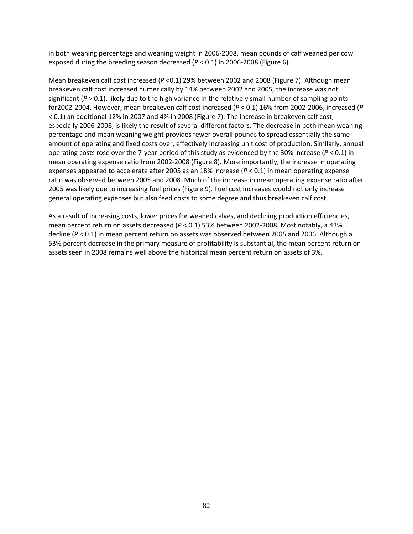in both weaning percentage and weaning weight in 2006‐2008, mean pounds of calf weaned per cow exposed during the breeding season decreased (*P* < 0.1) in 2006‐2008 (Figure 6).

Mean breakeven calf cost increased (*P* <0.1) 29% between 2002 and 2008 (Figure 7). Although mean breakeven calf cost increased numerically by 14% between 2002 and 2005, the increase was not significant  $(P > 0.1)$ , likely due to the high variance in the relatively small number of sampling points for2002‐2004. However, mean breakeven calf cost increased (*P* < 0.1) 16% from 2002‐2006, increased (*P* < 0.1) an additional 12% in 2007 and 4% in 2008 (Figure 7). The increase in breakeven calf cost, especially 2006‐2008, is likely the result of several different factors. The decrease in both mean weaning percentage and mean weaning weight provides fewer overall pounds to spread essentially the same amount of operating and fixed costs over, effectively increasing unit cost of production. Similarly, annual operating costs rose over the 7‐year period of this study as evidenced by the 30% increase (*P* < 0.1) in mean operating expense ratio from 2002‐2008 (Figure 8). More importantly, the increase in operating expenses appeared to accelerate after 2005 as an 18% increase (*P* < 0.1) in mean operating expense ratio was observed between 2005 and 2008. Much of the increase in mean operating expense ratio after 2005 was likely due to increasing fuel prices (Figure 9). Fuel cost increases would not only increase general operating expenses but also feed costs to some degree and thus breakeven calf cost.

As a result of increasing costs, lower prices for weaned calves, and declining production efficiencies, mean percent return on assets decreased (*P* < 0.1) 53% between 2002‐2008. Most notably, a 43% decline (*P* < 0.1) in mean percent return on assets was observed between 2005 and 2006. Although a 53% percent decrease in the primary measure of profitability is substantial, the mean percent return on assets seen in 2008 remains well above the historical mean percent return on assets of 3%.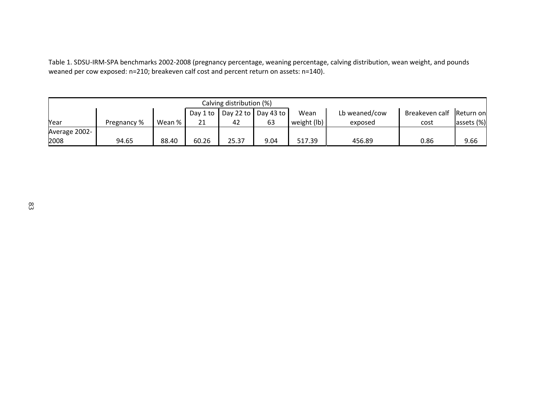Table 1. SDSU‐IRM‐SPA benchmarks 2002‐2008 (pregnancy percentage, weaning percentage, calving distribution, wean weight, and pounds weaned per cow exposed: n=210; breakeven calf cost and percent return on assets: n=140).

| Calving distribution (%) |             |        |                      |                                     |      |                   |               |                          |            |  |  |
|--------------------------|-------------|--------|----------------------|-------------------------------------|------|-------------------|---------------|--------------------------|------------|--|--|
|                          |             |        | Day 1 to $\parallel$ | Day 22 to $\vert$ Day 43 to $\vert$ |      | Wean              | Lb weaned/cow | Breakeven calf Return on |            |  |  |
| Year                     | Pregnancy % | Wean % | 21                   | 42                                  | 63   | weight $($ lb $)$ | exposed       | cost                     | assets (%) |  |  |
| Average 2002-            |             |        |                      |                                     |      |                   |               |                          |            |  |  |
| 2008                     | 94.65       | 88.40  | 60.26                | 25.37                               | 9.04 | 517.39            | 456.89        | 0.86                     | 9.66       |  |  |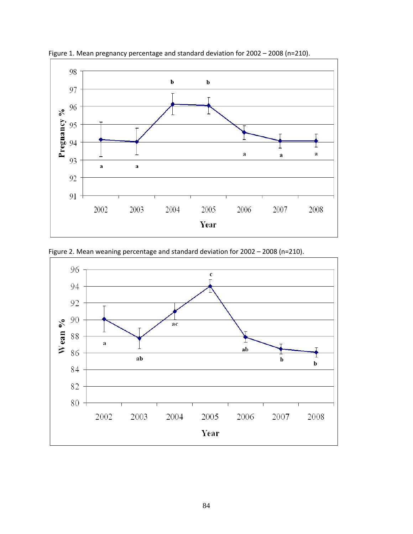

Figure 1. Mean pregnancy percentage and standard deviation for 2002 – 2008 (n=210).



Figure 2. Mean weaning percentage and standard deviation for 2002 – 2008 (n=210).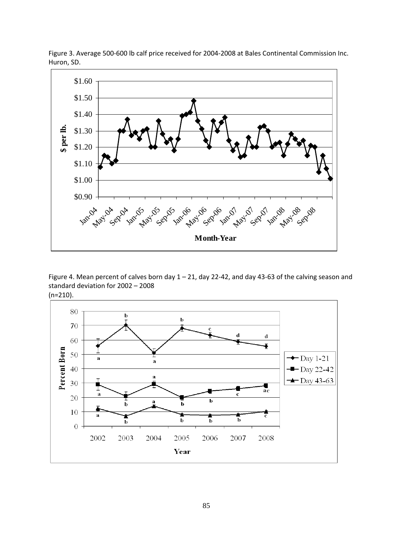

Figure 3. Average 500‐600 lb calf price received for 2004‐2008 at Bales Continental Commission Inc. Huron, SD.

Figure 4. Mean percent of calves born day 1 – 21, day 22‐42, and day 43‐63 of the calving season and standard deviation for 2002 – 2008

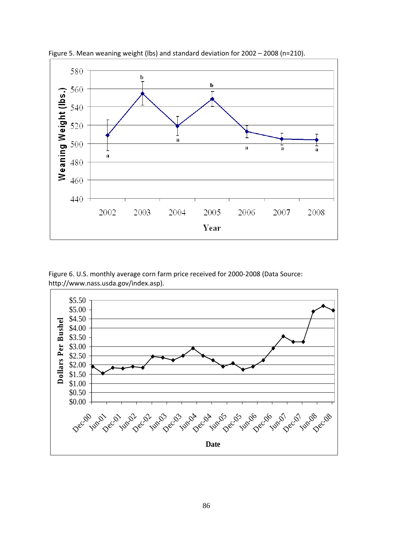

Figure 5. Mean weaning weight (lbs) and standard deviation for 2002 – 2008 (n=210).

Figure 6. U.S. monthly average corn farm price received for 2000‐2008 (Data Source: http://www.nass.usda.gov/index.asp).

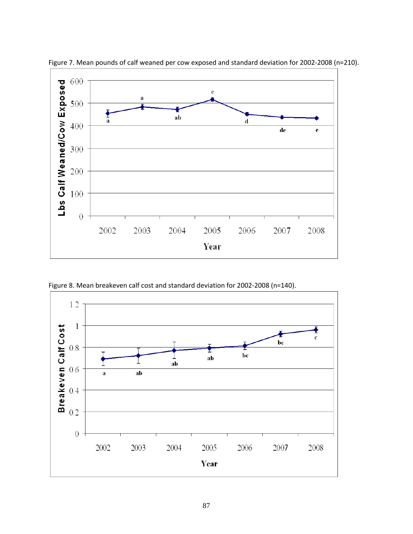

Figure 7. Mean pounds of calf weaned per cow exposed and standard deviation for 2002‐2008 (n=210).

Figure 8. Mean breakeven calf cost and standard deviation for 2002‐2008 (n=140).

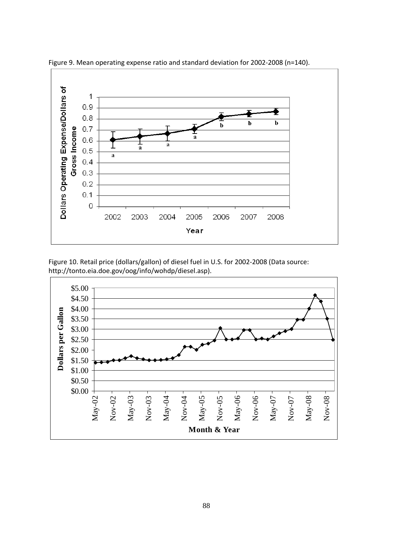

Figure 9. Mean operating expense ratio and standard deviation for 2002‐2008 (n=140).

Figure 10. Retail price (dollars/gallon) of diesel fuel in U.S. for 2002-2008 (Data source: http://tonto.eia.doe.gov/oog/info/wohdp/diesel.asp).